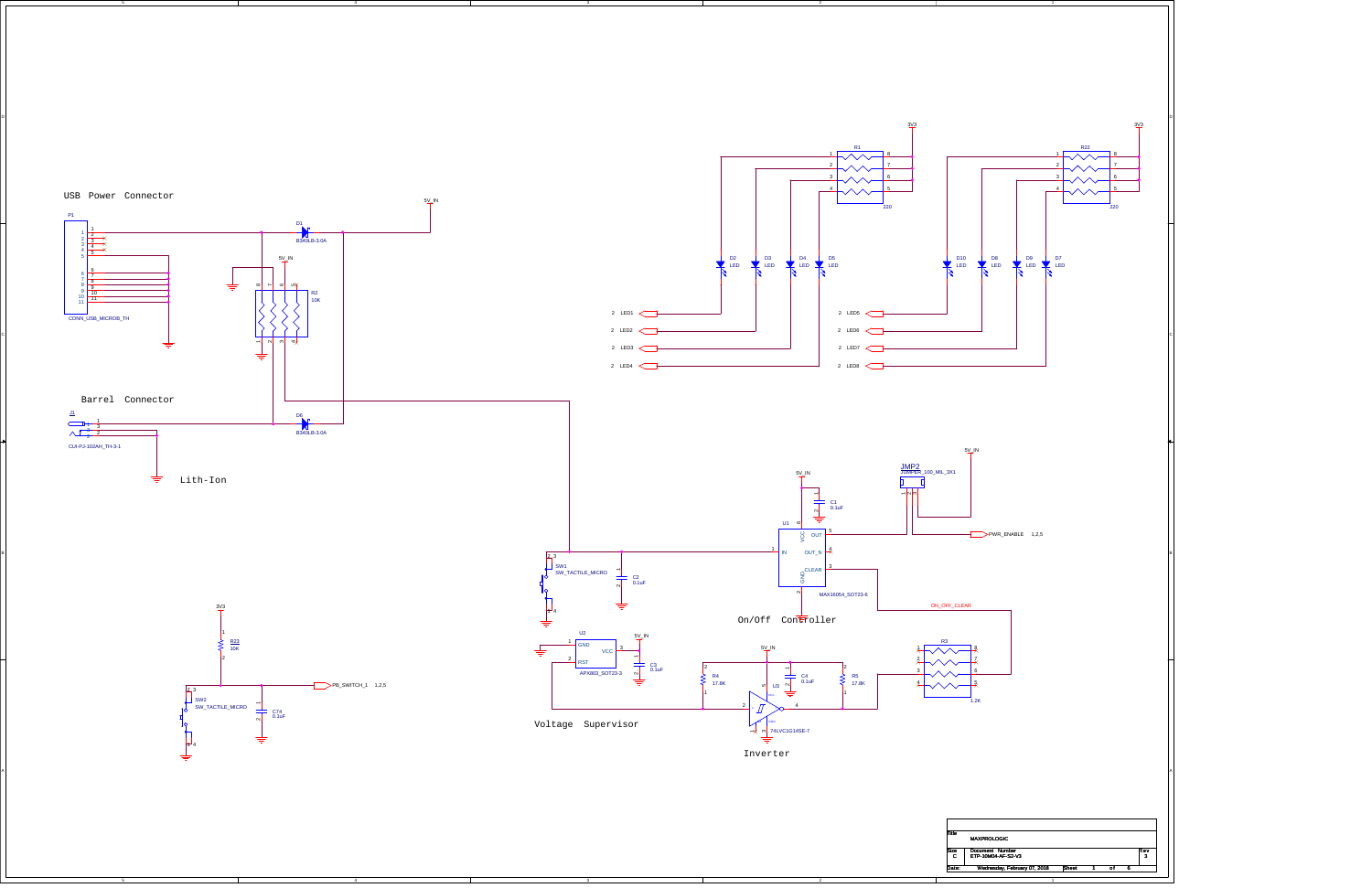4

3

B

A

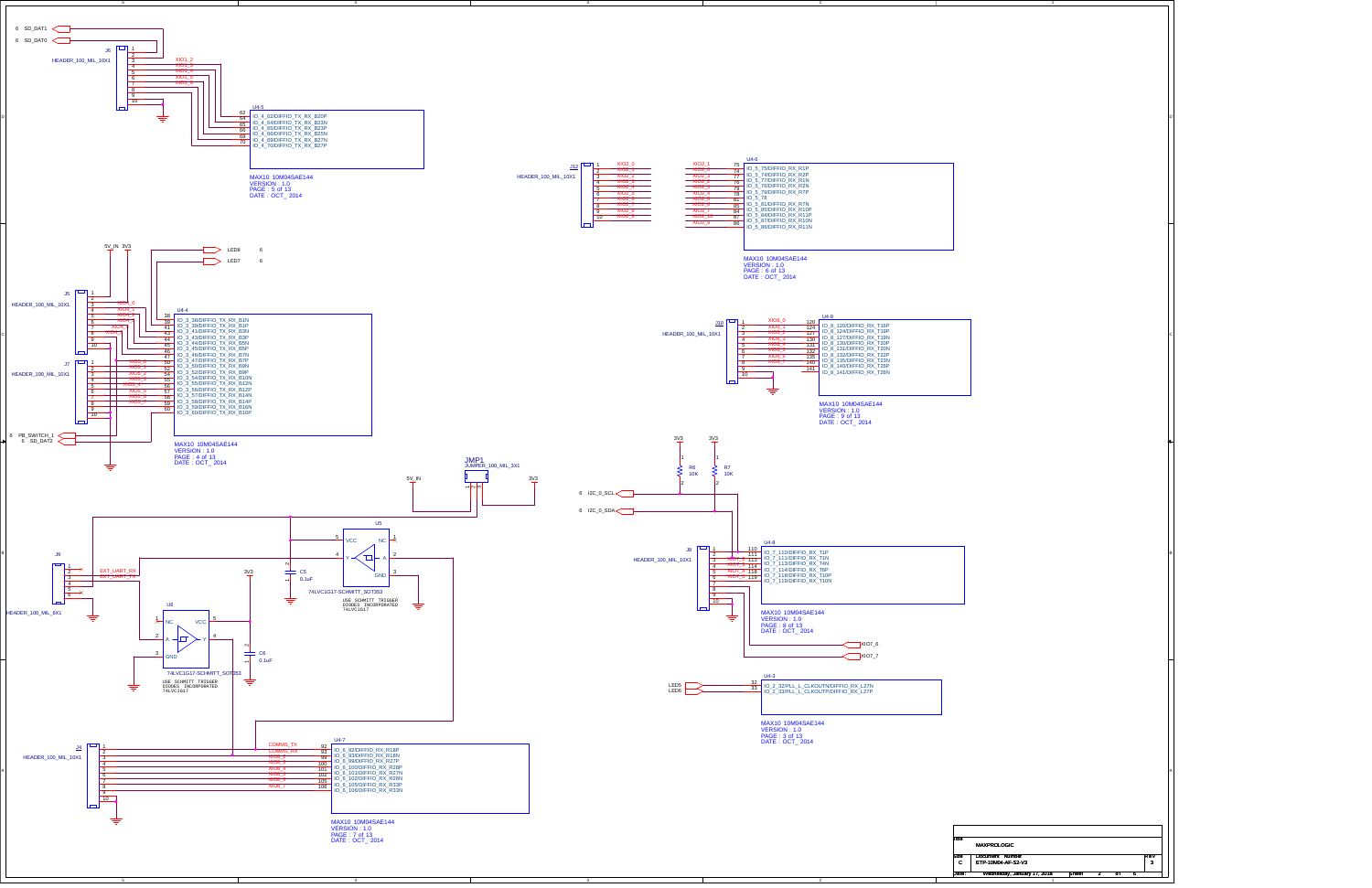

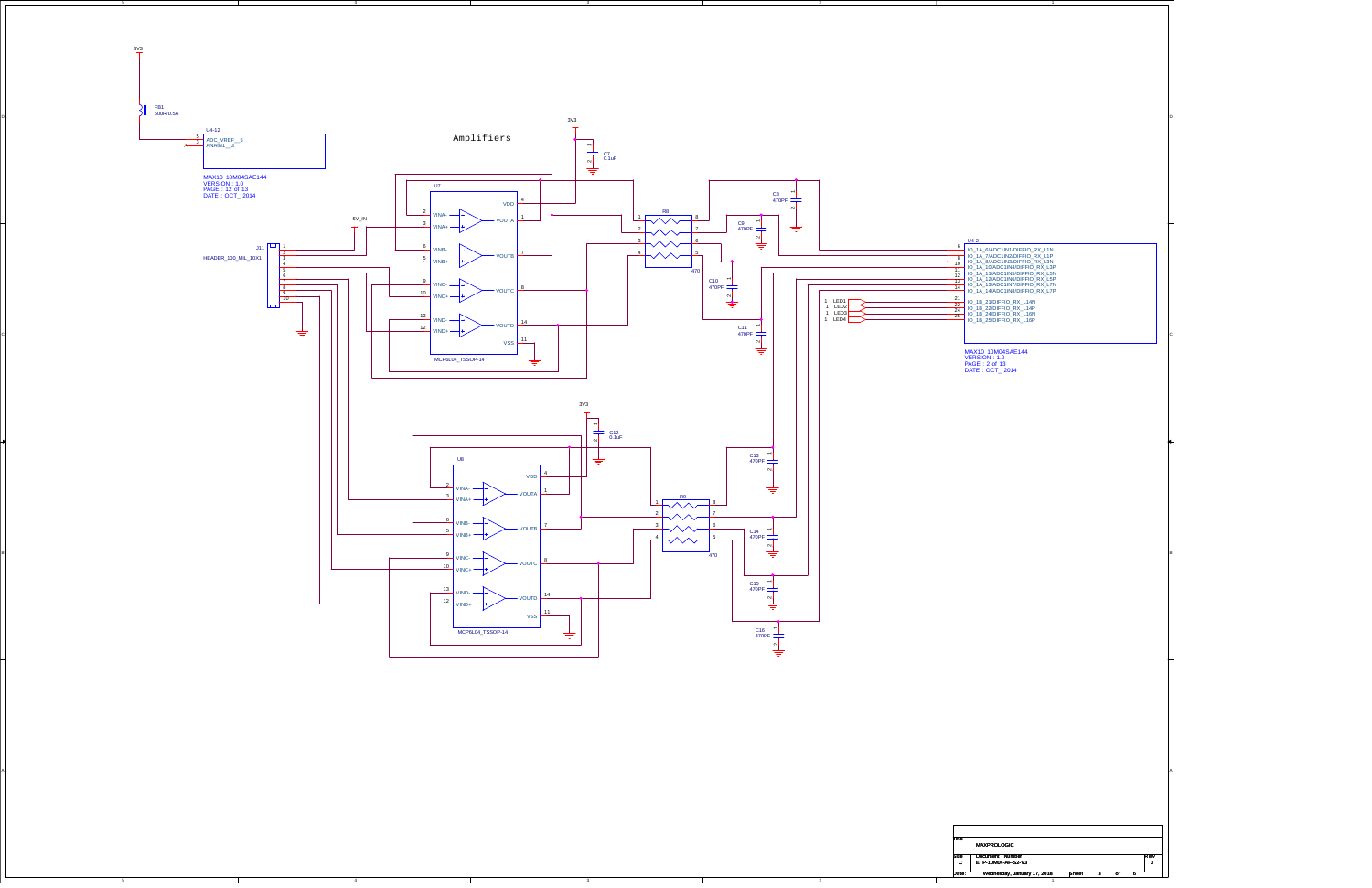B

A



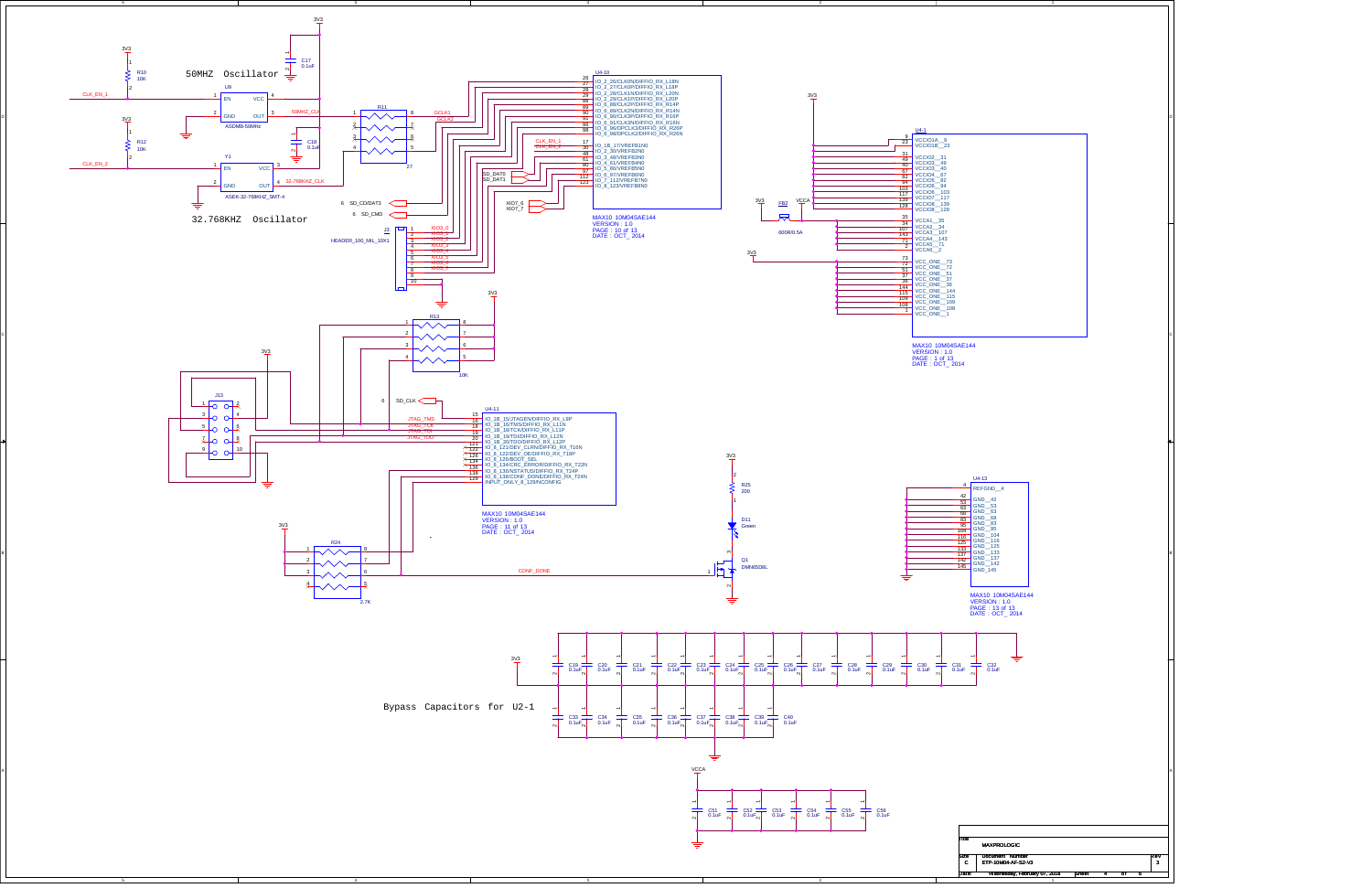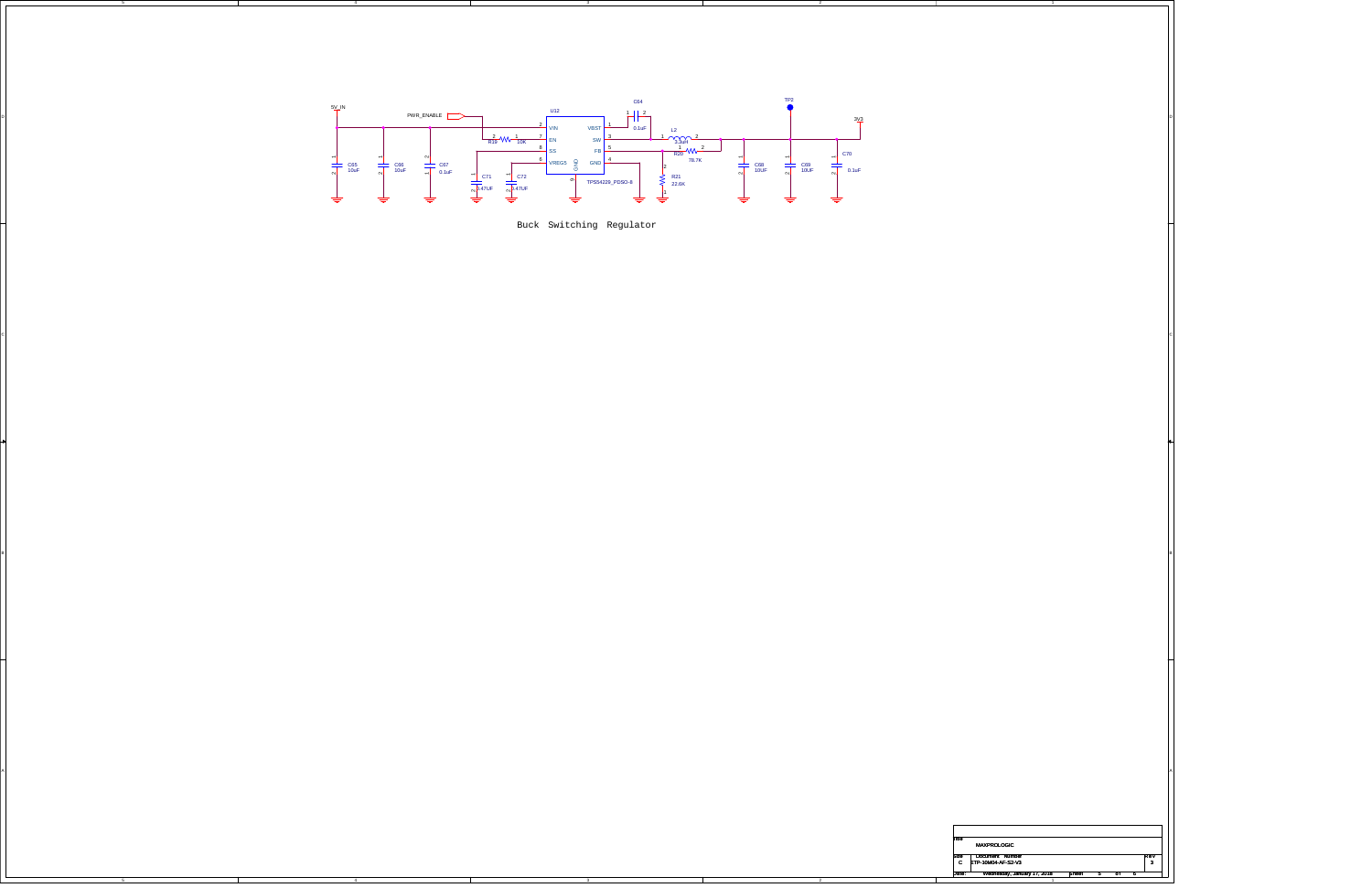4

3

B

A

Buck Switching Regulator